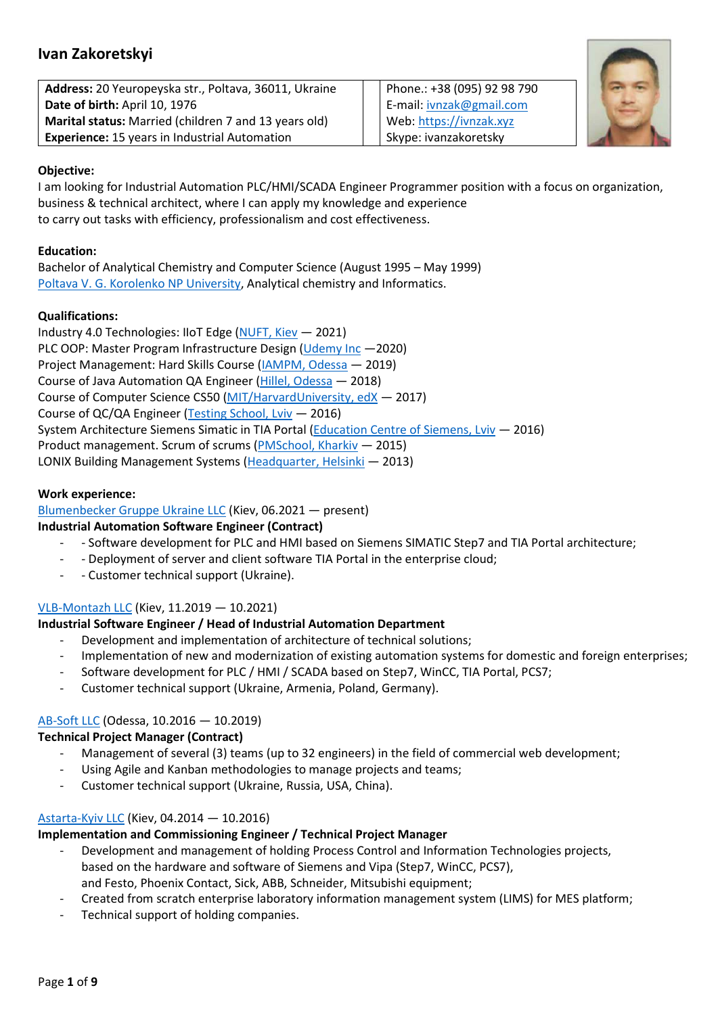# Ivan Zakoretskyi

| Address: 20 Yeuropeyska str., Poltava, 36011, Ukraine |
|-------------------------------------------------------|
| Date of birth: April 10, 1976                         |
| Marital status: Married (children 7 and 13 years old) |
| <b>Experience: 15 years in Industrial Automation</b>  |

Phone.: +38 (095) 92 98 790 E-mail: ivnzak@gmail.com Web: https://ivnzak.xyz Skype: ivanzakoretsky



## Objective:

I am looking for Industrial Automation PLC/HMI/SCADA Engineer Programmer position with a focus on organization, business & technical architect, where I can apply my knowledge and experience to carry out tasks with efficiency, professionalism and cost effectiveness.

## Education:

Bachelor of Analytical Chemistry and Computer Science (August 1995 – May 1999) Poltava V. G. Korolenko NP University, Analytical chemistry and Informatics.

## Qualifications:

Industry 4.0 Technologies: IIoT Edge (NUFT, Kiev — 2021) PLC OOP: Master Program Infrastructure Design (Udemy Inc —2020) Project Management: Hard Skills Course (IAMPM, Odessa — 2019) Course of Java Automation QA Engineer (Hillel, Odessa — 2018) Course of Computer Science CS50 (MIT/HarvardUniversity, edX — 2017) Course of QC/QA Engineer (Testing School, Lviv - 2016) System Architecture Siemens Simatic in TIA Portal (Education Centre of Siemens, Lviv — 2016) Product management. Scrum of scrums (PMSchool, Kharkiv — 2015) LONIX Building Management Systems (Headquarter, Helsinki - 2013)

## Work experience:

Blumenbecker Gruppe Ukraine LLC (Kiev, 06.2021 — present)

## Industrial Automation Software Engineer (Contract)

- - Software development for PLC and HMI based on Siemens SIMATIC Step7 and TIA Portal architecture;
- Deployment of server and client software TIA Portal in the enterprise cloud;
- - Customer technical support (Ukraine).

## VLB-Montazh LLC (Kiev, 11.2019 — 10.2021)

## Industrial Software Engineer / Head of Industrial Automation Department

- Development and implementation of architecture of technical solutions;
- Implementation of new and modernization of existing automation systems for domestic and foreign enterprises;
- Software development for PLC / HMI / SCADA based on Step7, WinCC, TIA Portal, PCS7;
- Customer technical support (Ukraine, Armenia, Poland, Germany).

## AB-Soft LLC (Odessa, 10.2016 — 10.2019)

## Technical Project Manager (Сontract)

- Management of several (3) teams (up to 32 engineers) in the field of commercial web development;
- Using Agile and Kanban methodologies to manage projects and teams;
- Customer technical support (Ukraine, Russia, USA, China).

## Astarta-Kyiv LLC (Kiev, 04.2014 — 10.2016)

## Implementation and Commissioning Engineer / Technical Project Manager

- Development and management of holding Process Control and Information Technologies projects, based on the hardware and software of Siemens and Vipa (Step7, WinCC, PCS7), and Festo, Phoenix Contact, Sick, ABB, Schneider, Mitsubishi equipment;
- Created from scratch enterprise laboratory information management system (LIMS) for MES platform;
- Technical support of holding companies.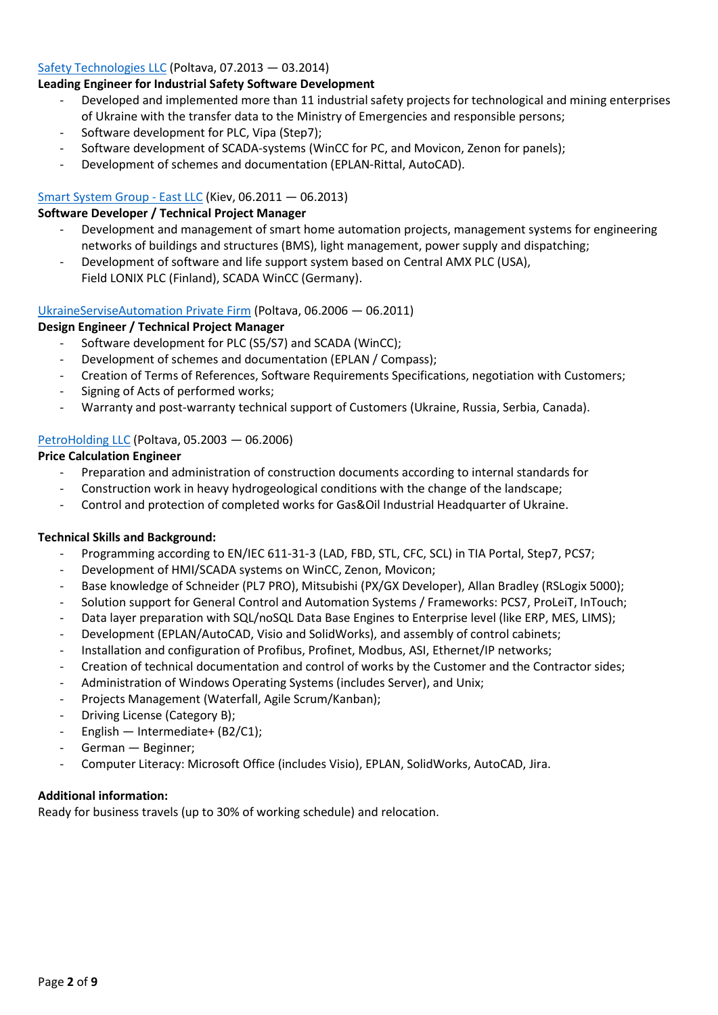#### Safety Technologies LLC (Poltava, 07.2013 — 03.2014)

### Leading Engineer for Industrial Safety Software Development

- Developed and implemented more than 11 industrial safety projects for technological and mining enterprises of Ukraine with the transfer data to the Ministry of Emergencies and responsible persons;
- Software development for PLC, Vipa (Step7);
- Software development of SCADA-systems (WinCC for PC, and Movicon, Zenon for panels);
- Development of schemes and documentation (EPLAN-Rittal, AutoCAD).

#### Smart System Group - East LLC (Kiev, 06.2011 — 06.2013)

#### Software Developer / Technical Project Manager

- Development and management of smart home automation projects, management systems for engineering networks of buildings and structures (BMS), light management, power supply and dispatching;
- Development of software and life support system based on Central AMX PLC (USA), Field LONIX PLC (Finland), SCADA WinCC (Germany).

#### UkraineServiseAutomation Private Firm (Poltava, 06.2006 — 06.2011)

#### Design Engineer / Technical Project Manager

- Software development for PLC (S5/S7) and SCADA (WinCC);
- Development of schemes and documentation (EPLAN / Compass);
- Creation of Terms of References, Software Requirements Specifications, negotiation with Customers;
- Signing of Acts of performed works;
- Warranty and post-warranty technical support of Customers (Ukraine, Russia, Serbia, Canada).

## PetroHolding LLC (Poltava, 05.2003 — 06.2006)

#### Price Calculation Engineer

- Preparation and administration of construction documents according to internal standards for
- Construction work in heavy hydrogeological conditions with the change of the landscape;
- Control and protection of completed works for Gas&Oil Industrial Headquarter of Ukraine.

#### Technical Skills and Background:

- Programming according to EN/IEC 611-31-3 (LAD, FBD, STL, CFC, SCL) in TIA Portal, Step7, PCS7;
- Development of HMI/SCADA systems on WinCC, Zenon, Movicon;
- Base knowledge of Schneider (PL7 PRO), Mitsubishi (PX/GX Developer), Allan Bradley (RSLogix 5000);
- Solution support for General Control and Automation Systems / Frameworks: PCS7, ProLeiT, InTouch;
- Data layer preparation with SQL/noSQL Data Base Engines to Enterprise level (like ERP, MES, LIMS);
- Development (EPLAN/AutoCAD, Visio and SolidWorks), and assembly of control cabinets;
- Installation and configuration of Profibus, Profinet, Modbus, ASI, Ethernet/IP networks;
- Creation of technical documentation and control of works by the Customer and the Contractor sides;
- Administration of Windows Operating Systems (includes Server), and Unix;
- Projects Management (Waterfall, Agile Scrum/Kanban);
- Driving License (Category B);
- English Intermediate+ (B2/C1);
- German Beginner;
- Computer Literacy: Microsoft Office (includes Visio), EPLAN, SolidWorks, AutoCAD, Jira.

#### Additional information:

Ready for business travels (up to 30% of working schedule) and relocation.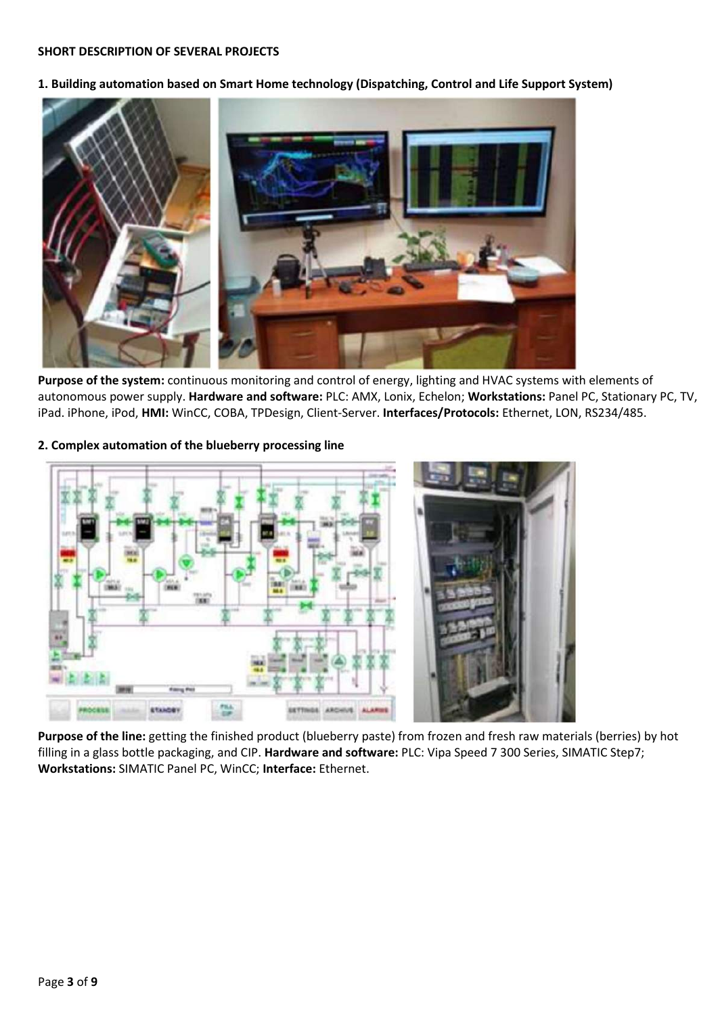#### SHORT DESCRIPTION OF SEVERAL PROJECTS

1. Building automation based on Smart Home technology (Dispatching, Control and Life Support System)



Purpose of the system: continuous monitoring and control of energy, lighting and HVAC systems with elements of autonomous power supply. Hardware and software: PLC: AMX, Lonix, Echelon; Workstations: Panel PC, Stationary PC, TV, iPad. iPhone, iPod, HMI: WinCC, COBA, TPDesign, Client-Server. Interfaces/Protocols: Ethernet, LON, RS234/485.

#### 2. Complex automation of the blueberry processing line



Purpose of the line: getting the finished product (blueberry paste) from frozen and fresh raw materials (berries) by hot filling in a glass bottle packaging, and CIP. Hardware and software: PLC: Vipa Speed 7 300 Series, SIMATIC Step7; Workstations: SIMATIC Panel PC, WinCC; Interface: Ethernet.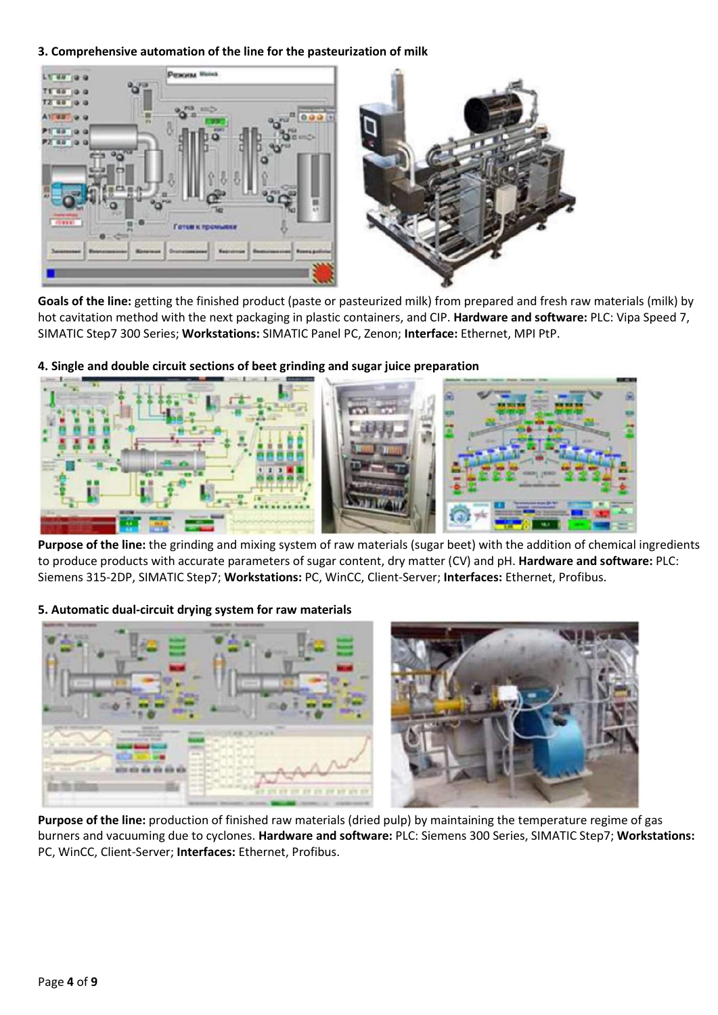3. Comprehensive automation of the line for the pasteurization of milk



Goals of the line: getting the finished product (paste or pasteurized milk) from prepared and fresh raw materials (milk) by hot cavitation method with the next packaging in plastic containers, and CIP. Hardware and software: PLC: Vipa Speed 7, SIMATIC Step7 300 Series; Workstations: SIMATIC Panel PC, Zenon; Interface: Ethernet, MPI PtP.



4. Single and double circuit sections of beet grinding and sugar juice preparation

Purpose of the line: the grinding and mixing system of raw materials (sugar beet) with the addition of chemical ingredients to produce products with accurate parameters of sugar content, dry matter (CV) and pH. Hardware and software: PLC: Siemens 315-2DP, SIMATIC Step7; Workstations: PC, WinCC, Client-Server; Interfaces: Ethernet, Profibus.

5. Automatic dual-circuit drying system for raw materials



Purpose of the line: production of finished raw materials (dried pulp) by maintaining the temperature regime of gas burners and vacuuming due to cyclones. Hardware and software: PLC: Siemens 300 Series, SIMATIC Step7; Workstations: PC, WinCC, Client-Server; Interfaces: Ethernet, Profibus.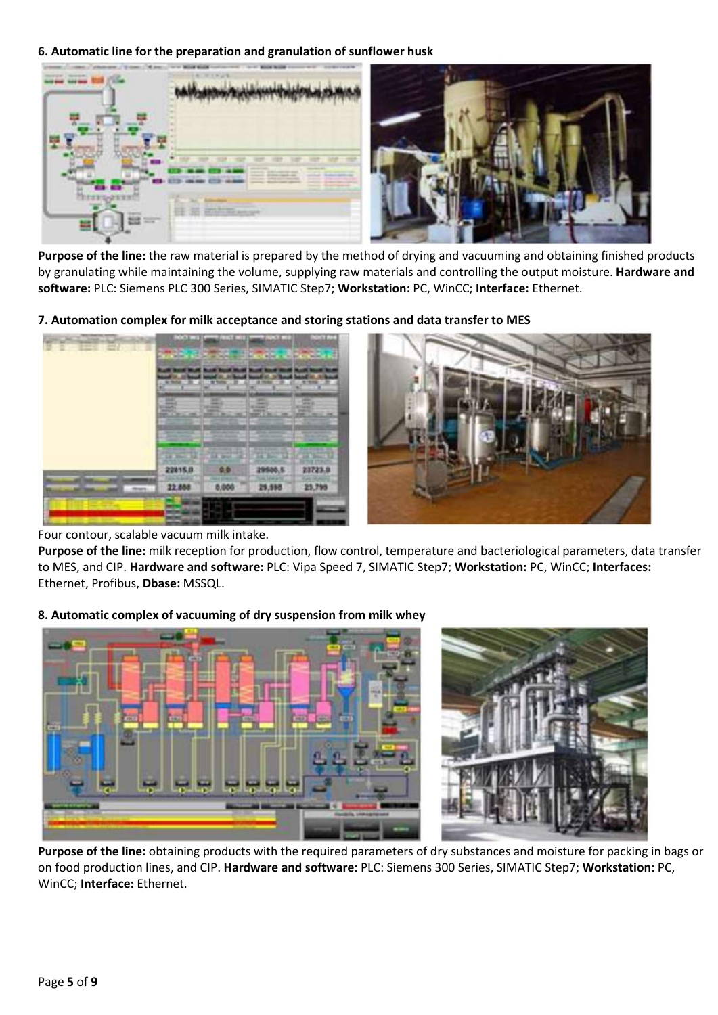6. Automatic line for the preparation and granulation of sunflower husk



Purpose of the line: the raw material is prepared by the method of drying and vacuuming and obtaining finished products by granulating while maintaining the volume, supplying raw materials and controlling the output moisture. Hardware and software: PLC: Siemens PLC 300 Series, SIMATIC Step7; Workstation: PC, WinCC; Interface: Ethernet.

7. Automation complex for milk acceptance and storing stations and data transfer to MES



#### Four contour, scalable vacuum milk intake.

Purpose of the line: milk reception for production, flow control, temperature and bacteriological parameters, data transfer to MES, and CIP. Hardware and software: PLC: Vipa Speed 7, SIMATIC Step7; Workstation: PC, WinCC; Interfaces: Ethernet, Profibus, Dbase: MSSQL.

#### 8. Automatic complex of vacuuming of dry suspension from milk whey



Purpose of the line: obtaining products with the required parameters of dry substances and moisture for packing in bags or on food production lines, and CIP. Hardware and software: PLC: Siemens 300 Series, SIMATIC Step7; Workstation: PC, WinCC; Interface: Ethernet.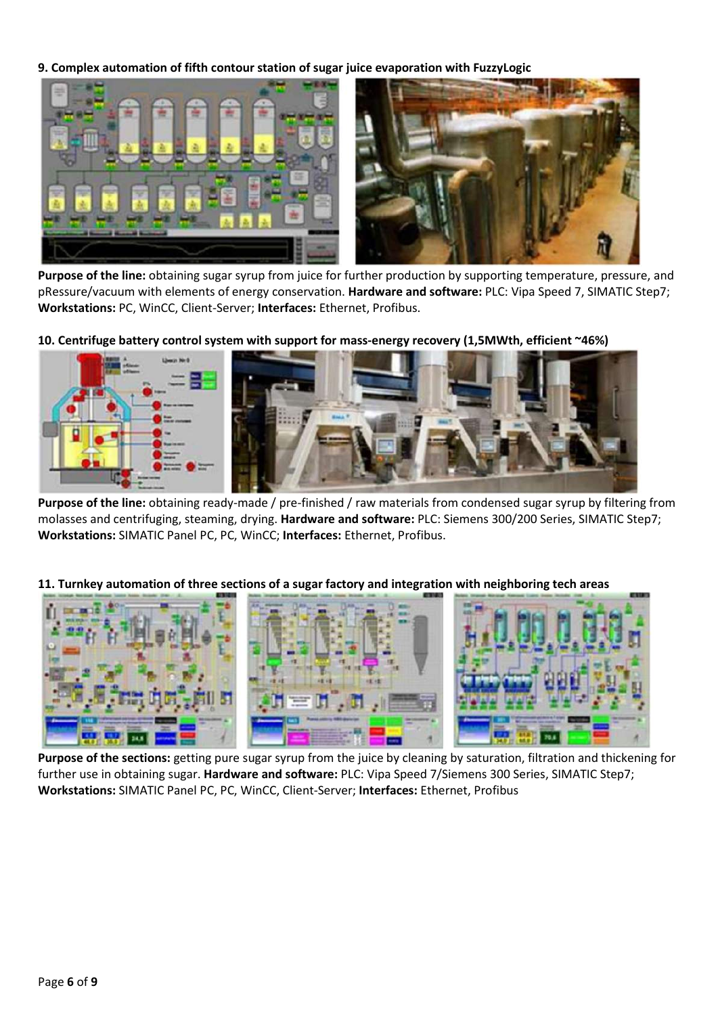9. Complex automation of fifth contour station of sugar juice evaporation with FuzzyLogic



Purpose of the line: obtaining sugar syrup from juice for further production by supporting temperature, pressure, and pRessure/vacuum with elements of energy conservation. Hardware and software: PLC: Vipa Speed 7, SIMATIC Step7; Workstations: PC, WinCC, Client-Server; Interfaces: Ethernet, Profibus.

10. Centrifuge battery control system with support for mass-energy recovery (1,5MWth, efficient ~46%)



Purpose of the line: obtaining ready-made / pre-finished / raw materials from condensed sugar syrup by filtering from molasses and centrifuging, steaming, drying. Hardware and software: PLC: Siemens 300/200 Series, SIMATIC Step7; Workstations: SIMATIC Panel PC, PC, WinCC; Interfaces: Ethernet, Profibus.

11. Turnkey automation of three sections of a sugar factory and integration with neighboring tech areas



Purpose of the sections: getting pure sugar syrup from the juice by cleaning by saturation, filtration and thickening for further use in obtaining sugar. Hardware and software: PLC: Vipa Speed 7/Siemens 300 Series, SIMATIC Step7; Workstations: SIMATIC Panel PC, PC, WinCC, Client-Server; Interfaces: Ethernet, Profibus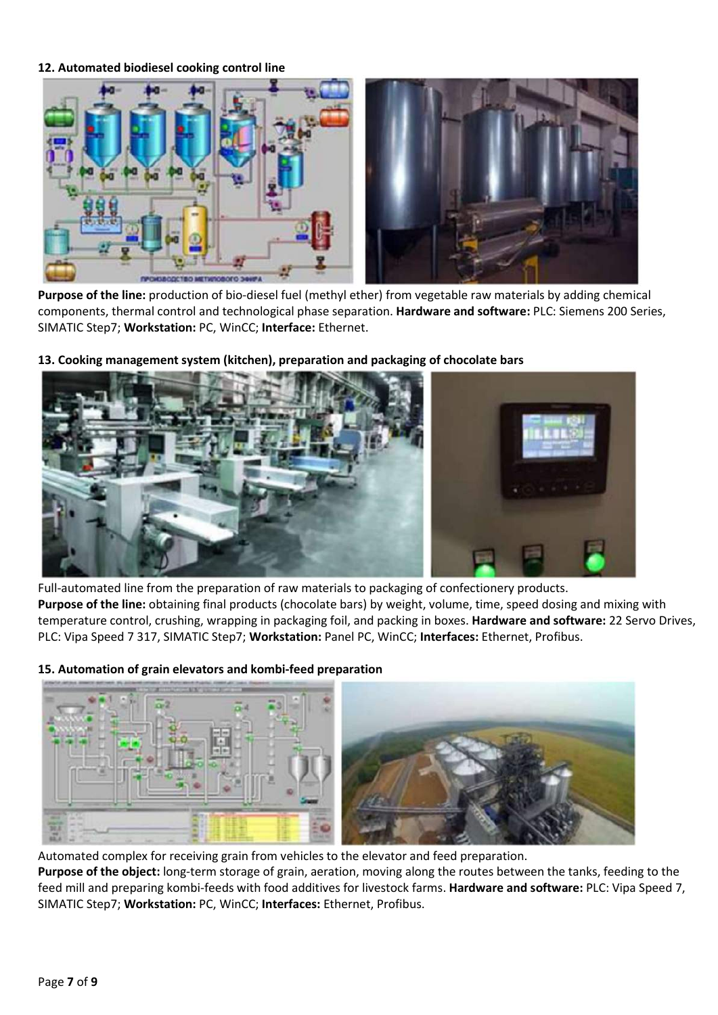#### 12. Automated biodiesel cooking control line



Purpose of the line: production of bio-diesel fuel (methyl ether) from vegetable raw materials by adding chemical components, thermal control and technological phase separation. Hardware and software: PLC: Siemens 200 Series, SIMATIC Step7; Workstation: PC, WinCC; Interface: Ethernet.



13. Cooking management system (kitchen), preparation and packaging of chocolate bars

Full-automated line from the preparation of raw materials to packaging of confectionery products. Purpose of the line: obtaining final products (chocolate bars) by weight, volume, time, speed dosing and mixing with temperature control, crushing, wrapping in packaging foil, and packing in boxes. Hardware and software: 22 Servo Drives, PLC: Vipa Speed 7 317, SIMATIC Step7; Workstation: Panel PC, WinCC; Interfaces: Ethernet, Profibus.

15. Automation of grain elevators and kombi-feed preparation

Automated complex for receiving grain from vehicles to the elevator and feed preparation.

Purpose of the object: long-term storage of grain, aeration, moving along the routes between the tanks, feeding to the feed mill and preparing kombi-feeds with food additives for livestock farms. Hardware and software: PLC: Vipa Speed 7, SIMATIC Step7; Workstation: PC, WinCC; Interfaces: Ethernet, Profibus.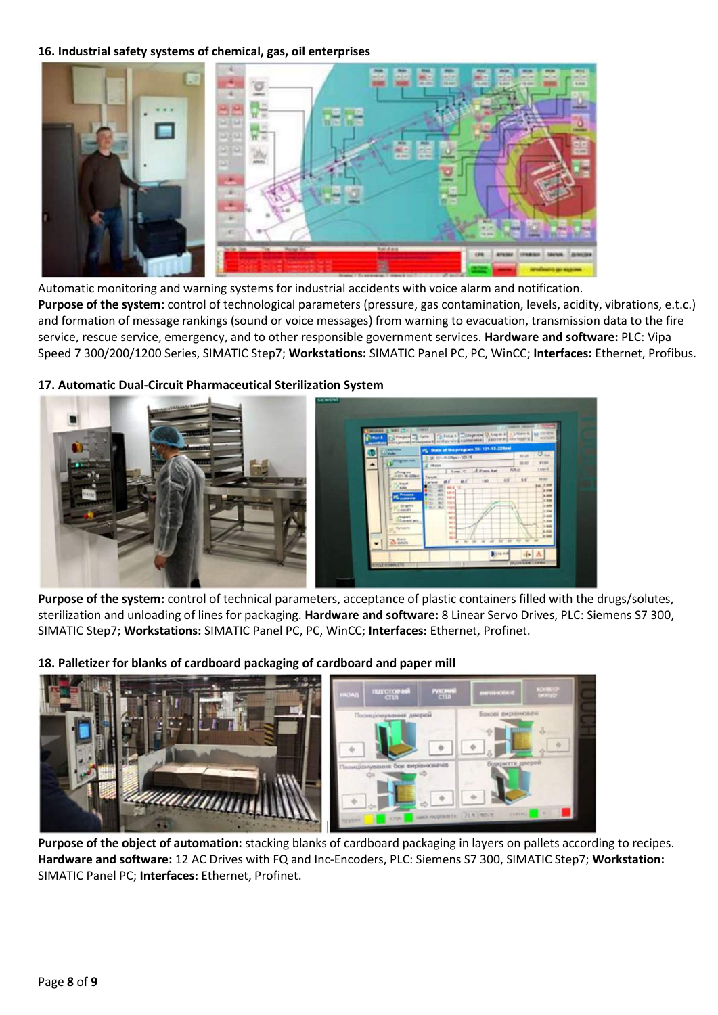### 16. Industrial safety systems of chemical, gas, oil enterprises



Automatic monitoring and warning systems for industrial accidents with voice alarm and notification. Purpose of the system: control of technological parameters (pressure, gas contamination, levels, acidity, vibrations, e.t.c.) and formation of message rankings (sound or voice messages) from warning to evacuation, transmission data to the fire service, rescue service, emergency, and to other responsible government services. Hardware and software: PLC: Vipa Speed 7 300/200/1200 Series, SIMATIC Step7; Workstations: SIMATIC Panel PC, PC, WinCC; Interfaces: Ethernet, Profibus.



17. Automatic Dual-Circuit Pharmaceutical Sterilization System

Purpose of the system: control of technical parameters, acceptance of plastic containers filled with the drugs/solutes, sterilization and unloading of lines for packaging. Hardware and software: 8 Linear Servo Drives, PLC: Siemens S7 300, SIMATIC Step7; Workstations: SIMATIC Panel PC, PC, WinCC; Interfaces: Ethernet, Profinet.

## 18. Palletizer for blanks of cardboard packaging of cardboard and paper mill



Purpose of the object of automation: stacking blanks of cardboard packaging in layers on pallets according to recipes. Hardware and software: 12 AC Drives with FQ and Inc-Encoders, PLC: Siemens S7 300, SIMATIC Step7; Workstation: SIMATIC Panel PC; Interfaces: Ethernet, Profinet.